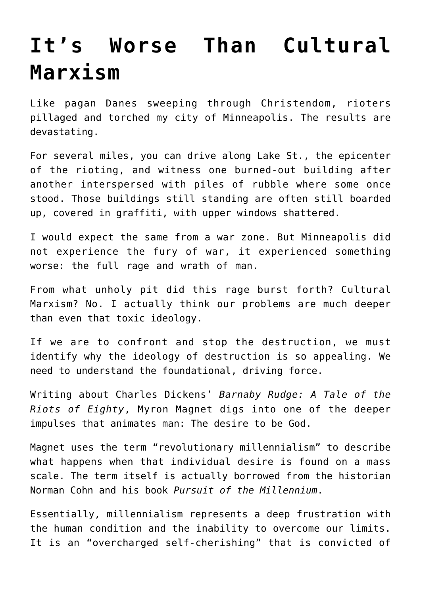## **[It's Worse Than Cultural](https://intellectualtakeout.org/2020/07/its-worse-than-cultural-marxism/) [Marxism](https://intellectualtakeout.org/2020/07/its-worse-than-cultural-marxism/)**

Like pagan Danes sweeping through Christendom, rioters pillaged and torched my city of Minneapolis. The results are devastating.

For several miles, you can drive along Lake St., the epicenter of the rioting, and witness one burned-out building after another interspersed with piles of rubble where some once stood. Those buildings still standing are often still boarded up, covered in graffiti, with upper windows shattered.

I would expect the same from a war zone. But Minneapolis did not experience the fury of war, it experienced something worse: the full rage and wrath of man.

From what unholy pit did this rage burst forth? Cultural Marxism? No. I actually think our problems are much deeper than even that toxic ideology.

If we are to confront and stop the destruction, we must identify why the ideology of destruction is so appealing. We need to understand the foundational, driving force.

Writing about Charles Dickens' *Barnaby Rudge: A Tale of the Riots of Eighty*, Myron Magnet digs into one of the deeper impulses that animates man: The desire to be God.

Magnet uses the term "revolutionary millennialism" to describe what happens when that individual desire is found on a mass scale. The term itself is actually borrowed from the historian Norman Cohn and his book *Pursuit of the Millennium*.

Essentially, millennialism represents a deep frustration with the human condition and the inability to overcome our limits. It is an "overcharged self-cherishing" that is convicted of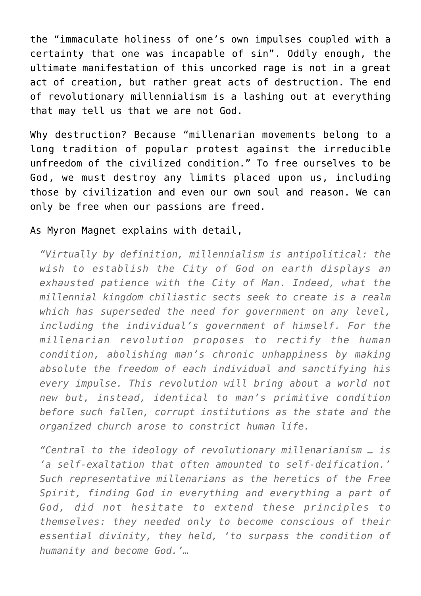the "immaculate holiness of one's own impulses coupled with a certainty that one was incapable of sin". Oddly enough, the ultimate manifestation of this uncorked rage is not in a great act of creation, but rather great acts of destruction. The end of revolutionary millennialism is a lashing out at everything that may tell us that we are not God.

Why destruction? Because "millenarian movements belong to a long tradition of popular protest against the irreducible unfreedom of the civilized condition." To free ourselves to be God, we must destroy any limits placed upon us, including those by civilization and even our own soul and reason. We can only be free when our passions are freed.

## As Myron Magnet explains with detail,

*"Virtually by definition, millennialism is antipolitical: the wish to establish the City of God on earth displays an exhausted patience with the City of Man. Indeed, what the millennial kingdom chiliastic sects seek to create is a realm which has superseded the need for government on any level, including the individual's government of himself. For the millenarian revolution proposes to rectify the human condition, abolishing man's chronic unhappiness by making absolute the freedom of each individual and sanctifying his every impulse. This revolution will bring about a world not new but, instead, identical to man's primitive condition before such fallen, corrupt institutions as the state and the organized church arose to constrict human life.*

*"Central to the ideology of revolutionary millenarianism … is 'a self-exaltation that often amounted to self-deification.' Such representative millenarians as the heretics of the Free Spirit, finding God in everything and everything a part of God, did not hesitate to extend these principles to themselves: they needed only to become conscious of their essential divinity, they held, 'to surpass the condition of humanity and become God.'…*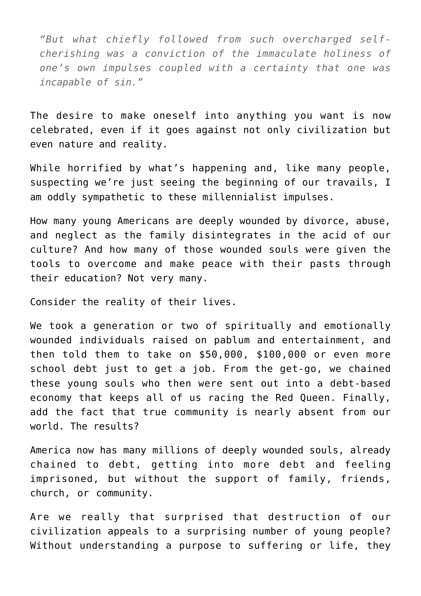*"But what chiefly followed from such overcharged selfcherishing was a conviction of the immaculate holiness of one's own impulses coupled with a certainty that one was incapable of sin."*

The desire to make oneself into anything you want is now celebrated, even if it goes against not only civilization but even nature and reality.

While horrified by what's happening and, like many people, suspecting we're just seeing the beginning of our travails, I am oddly sympathetic to these millennialist impulses.

How many young Americans are deeply wounded by divorce, abuse, and neglect as the family disintegrates in the acid of our culture? And how many of those wounded souls were given the tools to overcome and make peace with their pasts through their education? Not very many.

Consider the reality of their lives.

We took a generation or two of spiritually and emotionally wounded individuals raised on pablum and entertainment, and then told them to take on \$50,000, \$100,000 or even more school debt just to get a job. From the get-go, we chained these young souls who then were sent out into a debt-based economy that keeps all of us racing the Red Queen. Finally, add the fact that true community is nearly absent from our world. The results?

America now has many millions of deeply wounded souls, already chained to debt, getting into more debt and feeling imprisoned, but without the support of family, friends, church, or community.

Are we really that surprised that destruction of our civilization appeals to a surprising number of young people? Without understanding a purpose to suffering or life, they